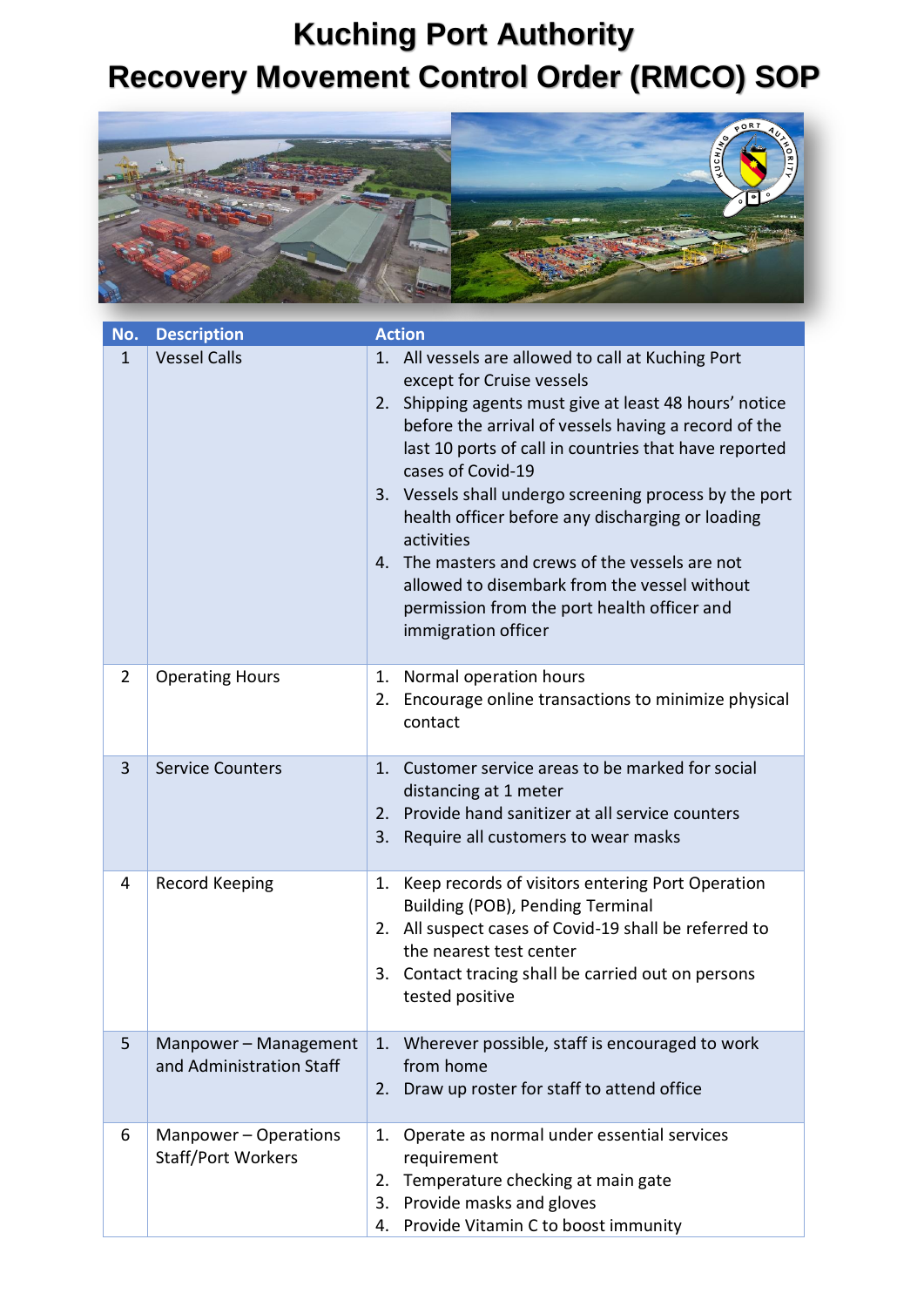## **Kuching Port Authority Recovery Movement Control Order (RMCO) SOP**



| No.            | <b>Description</b>                                 | <b>Action</b>                                                                                                                                                                                                                                                                                                                                                                                                                                                                                                                                                                              |
|----------------|----------------------------------------------------|--------------------------------------------------------------------------------------------------------------------------------------------------------------------------------------------------------------------------------------------------------------------------------------------------------------------------------------------------------------------------------------------------------------------------------------------------------------------------------------------------------------------------------------------------------------------------------------------|
| 1              | <b>Vessel Calls</b>                                | 1. All vessels are allowed to call at Kuching Port<br>except for Cruise vessels<br>Shipping agents must give at least 48 hours' notice<br>2.<br>before the arrival of vessels having a record of the<br>last 10 ports of call in countries that have reported<br>cases of Covid-19<br>3. Vessels shall undergo screening process by the port<br>health officer before any discharging or loading<br>activities<br>The masters and crews of the vessels are not<br>4.<br>allowed to disembark from the vessel without<br>permission from the port health officer and<br>immigration officer |
| $\overline{2}$ | <b>Operating Hours</b>                             | Normal operation hours<br>1.<br>Encourage online transactions to minimize physical<br>2.<br>contact                                                                                                                                                                                                                                                                                                                                                                                                                                                                                        |
| 3              | <b>Service Counters</b>                            | Customer service areas to be marked for social<br>1.<br>distancing at 1 meter<br>Provide hand sanitizer at all service counters<br>2.<br>3.<br>Require all customers to wear masks                                                                                                                                                                                                                                                                                                                                                                                                         |
| 4              | Record Keeping                                     | Keep records of visitors entering Port Operation<br>1.<br>Building (POB), Pending Terminal<br>2. All suspect cases of Covid-19 shall be referred to<br>the nearest test center<br>3. Contact tracing shall be carried out on persons<br>tested positive                                                                                                                                                                                                                                                                                                                                    |
| 5              | Manpower - Management<br>and Administration Staff  | Wherever possible, staff is encouraged to work<br>1.<br>from home<br>Draw up roster for staff to attend office<br>2.                                                                                                                                                                                                                                                                                                                                                                                                                                                                       |
| 6              | Manpower - Operations<br><b>Staff/Port Workers</b> | Operate as normal under essential services<br>1.<br>requirement<br>Temperature checking at main gate<br>2.<br>Provide masks and gloves<br>3.<br>Provide Vitamin C to boost immunity<br>4.                                                                                                                                                                                                                                                                                                                                                                                                  |